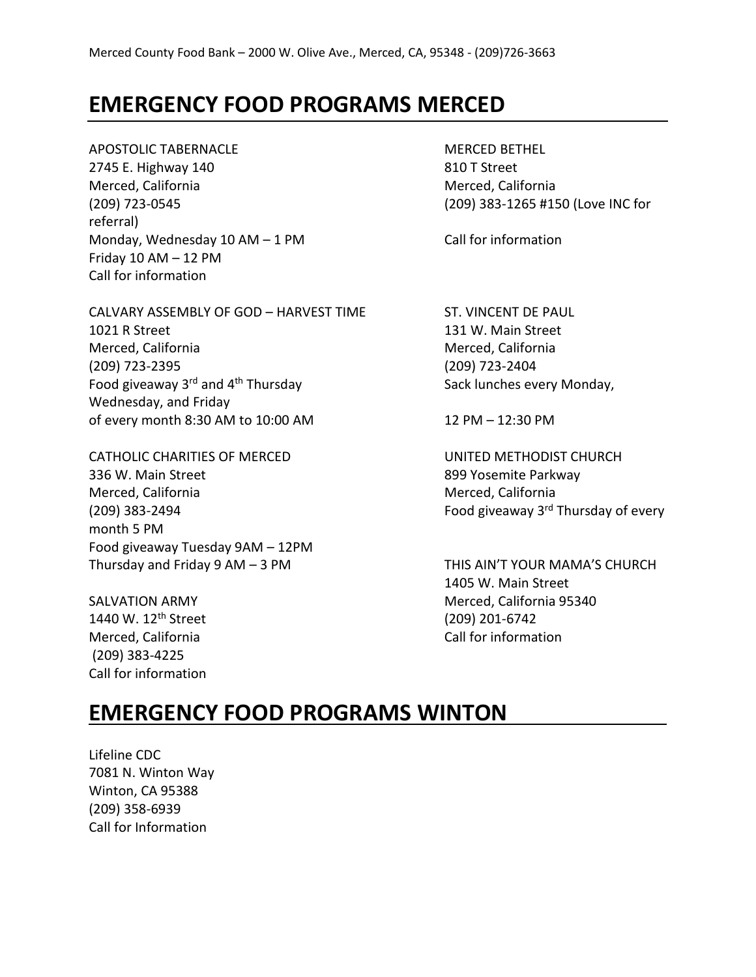#### **EMERGENCY FOOD PROGRAMS MERCED**

APOSTOLIC TABERNACLE MERCED BETHEL 2745 E. Highway 140 810 T Street Merced, California Merced, California (209) 723-0545 (209) 383-1265 #150 (Love INC for referral) Monday, Wednesday  $10 AM - 1 PM$  Call for information Friday  $10$  AM  $-$  12 PM Call for information

CALVARY ASSEMBLY OF GOD - HARVEST TIME ST. VINCENT DE PAUL 1021 R Street 131 W. Main Street Merced, California Merced, California (209) 723-2395 (209) 723-2404 Food giveaway  $3^{rd}$  and  $4^{th}$  Thursday  $\sim$  Sack lunches every Monday, Wednesday, and Friday of every month 8:30 AM to 10:00 AM 12 PM – 12:30 PM

CATHOLIC CHARITIES OF MERCED UNITED METHODIST CHURCH 336 W. Main Street 899 Yosemite Parkway Merced, California Merced, California (209) 383-2494  $\sim$  Food giveaway 3<sup>rd</sup> Thursday of every month 5 PM Food giveaway Tuesday 9AM – 12PM Thursday and Friday 9 AM – 3 PM THIS AIN'T YOUR MAMA'S CHURCH

1440 W. 12th Street (209) 201-6742 Merced, California Call for information Call for information (209) 383-4225 Call for information

1405 W. Main Street SALVATION ARMY **Merced, California 95340** 

## **EMERGENCY FOOD PROGRAMS WINTON**

Lifeline CDC 7081 N. Winton Way Winton, CA 95388 (209) 358-6939 Call for Information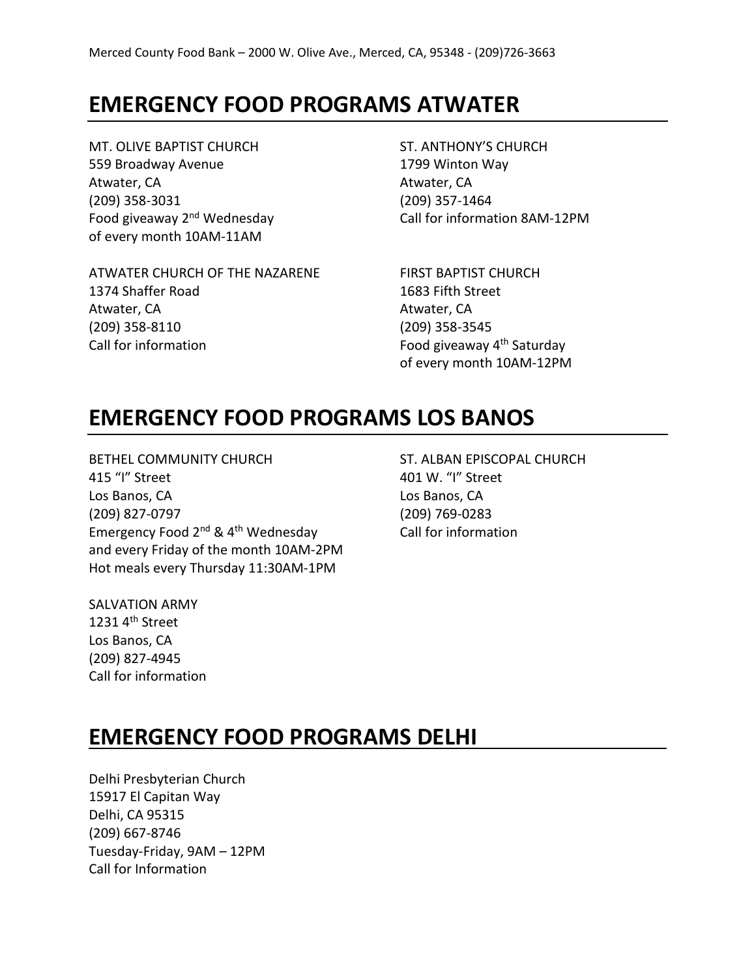## **EMERGENCY FOOD PROGRAMS ATWATER**

MT. OLIVE BAPTIST CHURCH ST. ANTHONY'S CHURCH 559 Broadway Avenue 1799 Winton Way Atwater, CA Atwater, CA (209) 358-3031 (209) 357-1464 of every month 10AM-11AM

Food giveaway 2<sup>nd</sup> Wednesday Call for information 8AM-12PM

ATWATER CHURCH OF THE NAZARENE FIRST BAPTIST CHURCH 1374 Shaffer Road 1683 Fifth Street Atwater, CA Atwater, CA (209) 358-8110 (209) 358-3545 Call for information  $\qquad \qquad$  Food giveaway  $4<sup>th</sup>$  Saturday

of every month 10AM-12PM

### **EMERGENCY FOOD PROGRAMS LOS BANOS**

BETHEL COMMUNITY CHURCH ST. ALBAN EPISCOPAL CHURCH 415 "I" Street 401 W. "I" Street Los Banos, CA Los Banos, CA (209) 827-0797 (209) 769-0283 Emergency Food  $2^{nd}$  &  $4^{th}$  Wednesday Call for information and every Friday of the month 10AM-2PM Hot meals every Thursday 11:30AM-1PM

SALVATION ARMY 1231 $4<sup>th</sup>$  Street Los Banos, CA (209) 827-4945 Call for information

# **EMERGENCY FOOD PROGRAMS DELHI**

Delhi Presbyterian Church 15917 El Capitan Way Delhi, CA 95315 (209) 667-8746 Tuesday-Friday, 9AM – 12PM Call for Information